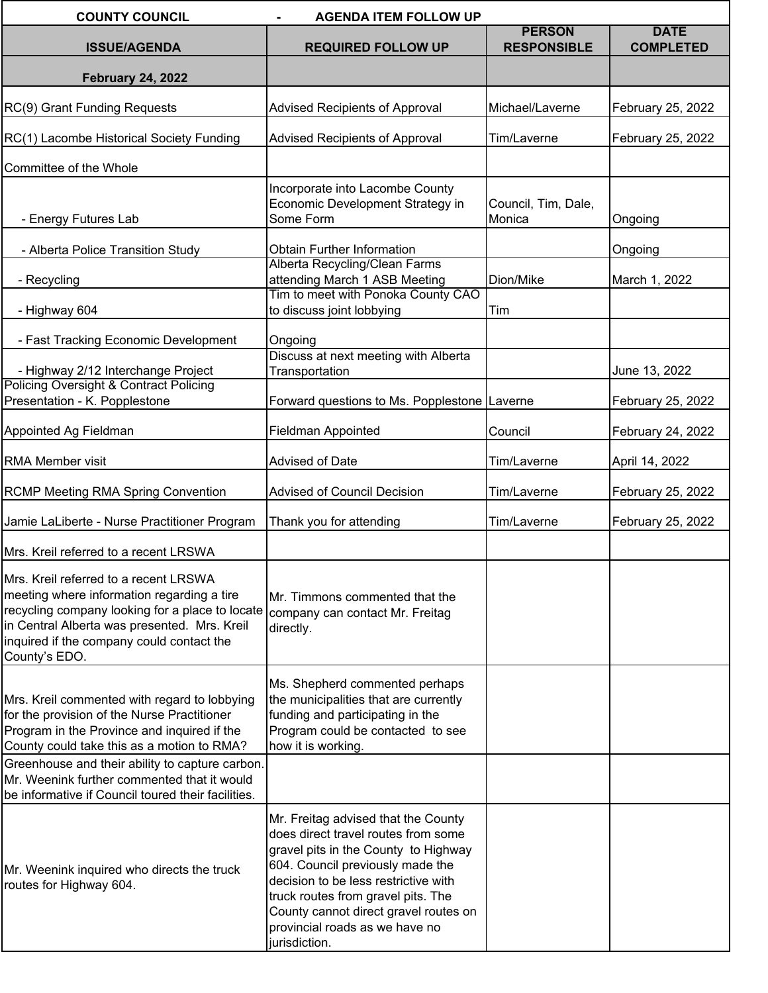| <b>COUNTY COUNCIL</b><br><b>AGENDA ITEM FOLLOW UP</b>                                                                                                                                                                                                |                                                                                                                                                                                                                                                                                                                                  |                                     |                                 |  |  |
|------------------------------------------------------------------------------------------------------------------------------------------------------------------------------------------------------------------------------------------------------|----------------------------------------------------------------------------------------------------------------------------------------------------------------------------------------------------------------------------------------------------------------------------------------------------------------------------------|-------------------------------------|---------------------------------|--|--|
| <b>ISSUE/AGENDA</b>                                                                                                                                                                                                                                  | <b>REQUIRED FOLLOW UP</b>                                                                                                                                                                                                                                                                                                        | <b>PERSON</b><br><b>RESPONSIBLE</b> | <b>DATE</b><br><b>COMPLETED</b> |  |  |
| <b>February 24, 2022</b>                                                                                                                                                                                                                             |                                                                                                                                                                                                                                                                                                                                  |                                     |                                 |  |  |
|                                                                                                                                                                                                                                                      |                                                                                                                                                                                                                                                                                                                                  |                                     |                                 |  |  |
| RC(9) Grant Funding Requests                                                                                                                                                                                                                         | Advised Recipients of Approval                                                                                                                                                                                                                                                                                                   | Michael/Laverne                     | February 25, 2022               |  |  |
| RC(1) Lacombe Historical Society Funding                                                                                                                                                                                                             | Advised Recipients of Approval                                                                                                                                                                                                                                                                                                   | Tim/Laverne                         | February 25, 2022               |  |  |
| Committee of the Whole                                                                                                                                                                                                                               |                                                                                                                                                                                                                                                                                                                                  |                                     |                                 |  |  |
| - Energy Futures Lab                                                                                                                                                                                                                                 | Incorporate into Lacombe County<br>Economic Development Strategy in<br>Some Form                                                                                                                                                                                                                                                 | Council, Tim, Dale,<br>Monica       | Ongoing                         |  |  |
| - Alberta Police Transition Study                                                                                                                                                                                                                    | <b>Obtain Further Information</b>                                                                                                                                                                                                                                                                                                |                                     | Ongoing                         |  |  |
| - Recycling                                                                                                                                                                                                                                          | Alberta Recycling/Clean Farms<br>attending March 1 ASB Meeting                                                                                                                                                                                                                                                                   | Dion/Mike                           | March 1, 2022                   |  |  |
| - Highway 604                                                                                                                                                                                                                                        | Tim to meet with Ponoka County CAO<br>to discuss joint lobbying                                                                                                                                                                                                                                                                  | Tim                                 |                                 |  |  |
| - Fast Tracking Economic Development                                                                                                                                                                                                                 | Ongoing                                                                                                                                                                                                                                                                                                                          |                                     |                                 |  |  |
| - Highway 2/12 Interchange Project<br><b>Policing Oversight &amp; Contract Policing</b>                                                                                                                                                              | Discuss at next meeting with Alberta<br>Transportation                                                                                                                                                                                                                                                                           |                                     | June 13, 2022                   |  |  |
| Presentation - K. Popplestone                                                                                                                                                                                                                        | Forward questions to Ms. Popplestone Laverne                                                                                                                                                                                                                                                                                     |                                     | February 25, 2022               |  |  |
| Appointed Ag Fieldman                                                                                                                                                                                                                                | <b>Fieldman Appointed</b>                                                                                                                                                                                                                                                                                                        | Council                             | February 24, 2022               |  |  |
| <b>RMA Member visit</b>                                                                                                                                                                                                                              | Advised of Date                                                                                                                                                                                                                                                                                                                  | Tim/Laverne                         | April 14, 2022                  |  |  |
| <b>RCMP Meeting RMA Spring Convention</b>                                                                                                                                                                                                            | <b>Advised of Council Decision</b>                                                                                                                                                                                                                                                                                               | Tim/Laverne                         | February 25, 2022               |  |  |
| Jamie LaLiberte - Nurse Practitioner Program                                                                                                                                                                                                         | Thank you for attending                                                                                                                                                                                                                                                                                                          | Tim/Laverne                         | February 25, 2022               |  |  |
| Mrs. Kreil referred to a recent LRSWA                                                                                                                                                                                                                |                                                                                                                                                                                                                                                                                                                                  |                                     |                                 |  |  |
| Mrs. Kreil referred to a recent LRSWA<br>meeting where information regarding a tire<br>recycling company looking for a place to locate<br>in Central Alberta was presented. Mrs. Kreil<br>inquired if the company could contact the<br>County's EDO. | Mr. Timmons commented that the<br>company can contact Mr. Freitag<br>directly.                                                                                                                                                                                                                                                   |                                     |                                 |  |  |
| Mrs. Kreil commented with regard to lobbying<br>for the provision of the Nurse Practitioner<br>Program in the Province and inquired if the<br>County could take this as a motion to RMA?                                                             | Ms. Shepherd commented perhaps<br>the municipalities that are currently<br>funding and participating in the<br>Program could be contacted to see<br>how it is working.                                                                                                                                                           |                                     |                                 |  |  |
| Greenhouse and their ability to capture carbon.<br>Mr. Weenink further commented that it would<br>be informative if Council toured their facilities.                                                                                                 |                                                                                                                                                                                                                                                                                                                                  |                                     |                                 |  |  |
| Mr. Weenink inquired who directs the truck<br>routes for Highway 604.                                                                                                                                                                                | Mr. Freitag advised that the County<br>does direct travel routes from some<br>gravel pits in the County to Highway<br>604. Council previously made the<br>decision to be less restrictive with<br>truck routes from gravel pits. The<br>County cannot direct gravel routes on<br>provincial roads as we have no<br>jurisdiction. |                                     |                                 |  |  |